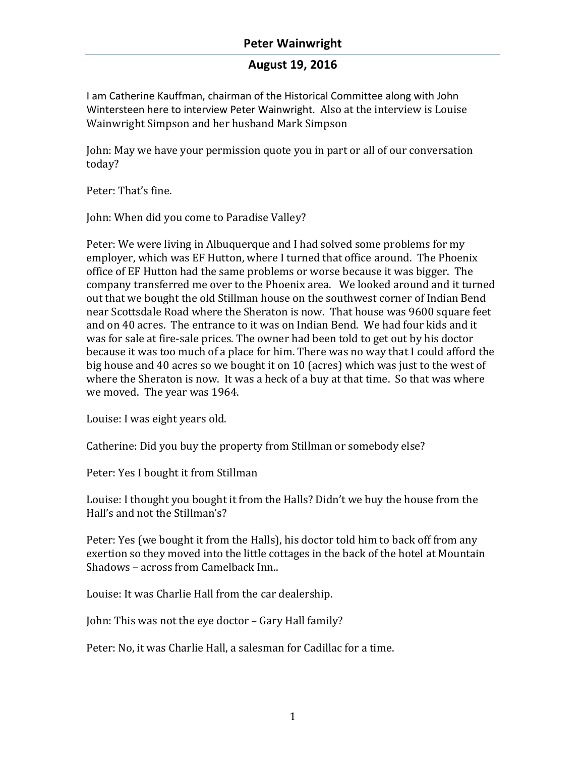I am Catherine Kauffman, chairman of the Historical Committee along with John Wintersteen here to interview Peter Wainwright. Also at the interview is Louise Wainwright Simpson and her husband Mark Simpson

John: May we have your permission quote you in part or all of our conversation today?

Peter: That's fine.

John: When did you come to Paradise Valley?

Peter: We were living in Albuquerque and I had solved some problems for my employer, which was EF Hutton, where I turned that office around. The Phoenix office of EF Hutton had the same problems or worse because it was bigger. The company transferred me over to the Phoenix area. We looked around and it turned out that we bought the old Stillman house on the southwest corner of Indian Bend near Scottsdale Road where the Sheraton is now. That house was 9600 square feet and on 40 acres. The entrance to it was on Indian Bend. We had four kids and it was for sale at fire-sale prices. The owner had been told to get out by his doctor because it was too much of a place for him. There was no way that I could afford the big house and 40 acres so we bought it on 10 (acres) which was just to the west of where the Sheraton is now. It was a heck of a buy at that time. So that was where we moved. The year was 1964.

Louise: I was eight years old.

Catherine: Did you buy the property from Stillman or somebody else?

Peter: Yes I bought it from Stillman

Louise: I thought you bought it from the Halls? Didn't we buy the house from the Hall's and not the Stillman's?

Peter: Yes (we bought it from the Halls), his doctor told him to back off from any exertion so they moved into the little cottages in the back of the hotel at Mountain Shadows – across from Camelback Inn..

Louise: It was Charlie Hall from the car dealership.

John: This was not the eye doctor - Gary Hall family?

Peter: No, it was Charlie Hall, a salesman for Cadillac for a time.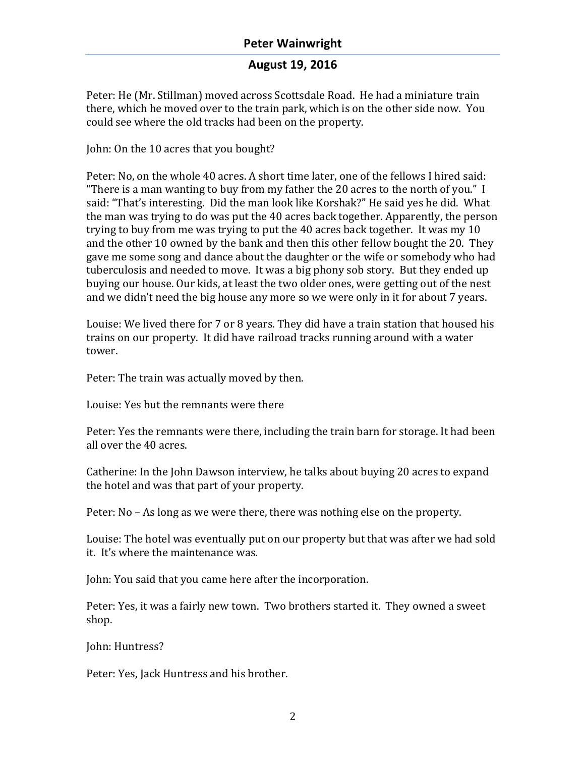Peter: He (Mr. Stillman) moved across Scottsdale Road. He had a miniature train there, which he moved over to the train park, which is on the other side now. You could see where the old tracks had been on the property.

John: On the 10 acres that you bought?

Peter: No, on the whole 40 acres. A short time later, one of the fellows I hired said: "There is a man wanting to buy from my father the 20 acres to the north of you." I said: "That's interesting. Did the man look like Korshak?" He said ves he did. What the man was trying to do was put the 40 acres back together. Apparently, the person trying to buy from me was trying to put the  $40$  acres back together. It was my 10 and the other 10 owned by the bank and then this other fellow bought the 20. They gave me some song and dance about the daughter or the wife or somebody who had tuberculosis and needed to move. It was a big phony sob story. But they ended up buying our house. Our kids, at least the two older ones, were getting out of the nest and we didn't need the big house any more so we were only in it for about 7 years.

Louise: We lived there for 7 or 8 years. They did have a train station that housed his trains on our property. It did have railroad tracks running around with a water tower. 

Peter: The train was actually moved by then.

Louise: Yes but the remnants were there

Peter: Yes the remnants were there, including the train barn for storage. It had been all over the 40 acres.

Catherine: In the John Dawson interview, he talks about buying 20 acres to expand the hotel and was that part of your property.

Peter:  $No - As long as we were there, there was nothing else on the property.$ 

Louise: The hotel was eventually put on our property but that was after we had sold it. It's where the maintenance was.

John: You said that you came here after the incorporation.

Peter: Yes, it was a fairly new town. Two brothers started it. They owned a sweet shop.

John: Huntress?

Peter: Yes, Jack Huntress and his brother.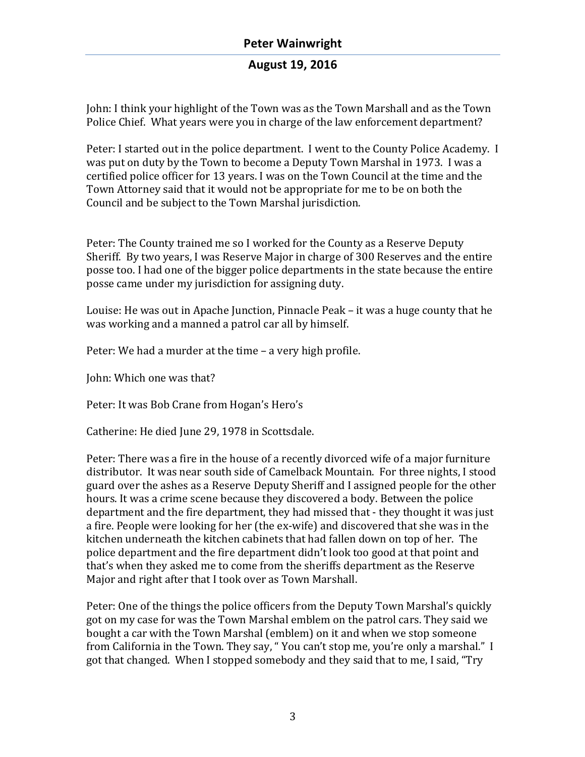John: I think your highlight of the Town was as the Town Marshall and as the Town Police Chief. What years were you in charge of the law enforcement department?

Peter: I started out in the police department. I went to the County Police Academy. I was put on duty by the Town to become a Deputy Town Marshal in 1973. I was a certified police officer for 13 years. I was on the Town Council at the time and the Town Attorney said that it would not be appropriate for me to be on both the Council and be subject to the Town Marshal jurisdiction.

Peter: The County trained me so I worked for the County as a Reserve Deputy Sheriff. By two years, I was Reserve Major in charge of 300 Reserves and the entire posse too. I had one of the bigger police departments in the state because the entire posse came under my jurisdiction for assigning duty.

Louise: He was out in Apache Junction, Pinnacle Peak – it was a huge county that he was working and a manned a patrol car all by himself.

Peter: We had a murder at the time – a very high profile.

John: Which one was that?

Peter: It was Bob Crane from Hogan's Hero's

Catherine: He died June 29, 1978 in Scottsdale.

Peter: There was a fire in the house of a recently divorced wife of a major furniture distributor. It was near south side of Camelback Mountain. For three nights, I stood guard over the ashes as a Reserve Deputy Sheriff and I assigned people for the other hours. It was a crime scene because they discovered a body. Between the police department and the fire department, they had missed that - they thought it was just a fire. People were looking for her (the ex-wife) and discovered that she was in the kitchen underneath the kitchen cabinets that had fallen down on top of her. The police department and the fire department didn't look too good at that point and that's when they asked me to come from the sheriffs department as the Reserve Major and right after that I took over as Town Marshall.

Peter: One of the things the police officers from the Deputy Town Marshal's quickly got on my case for was the Town Marshal emblem on the patrol cars. They said we bought a car with the Town Marshal (emblem) on it and when we stop someone from California in the Town. They say, "You can't stop me, you're only a marshal." I got that changed. When I stopped somebody and they said that to me, I said, "Try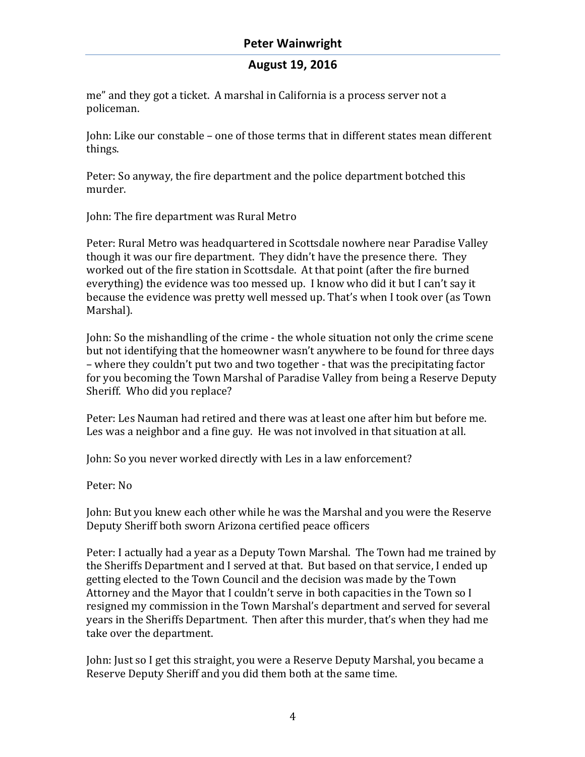me" and they got a ticket. A marshal in California is a process server not a policeman.

John: Like our constable – one of those terms that in different states mean different things. 

Peter: So anyway, the fire department and the police department botched this murder. 

John: The fire department was Rural Metro

Peter: Rural Metro was headquartered in Scottsdale nowhere near Paradise Valley though it was our fire department. They didn't have the presence there. They worked out of the fire station in Scottsdale. At that point (after the fire burned everything) the evidence was too messed up. I know who did it but I can't say it because the evidence was pretty well messed up. That's when I took over (as Town Marshal). 

John: So the mishandling of the crime - the whole situation not only the crime scene but not identifying that the homeowner wasn't anywhere to be found for three days – where they couldn't put two and two together - that was the precipitating factor for you becoming the Town Marshal of Paradise Valley from being a Reserve Deputy Sheriff. Who did you replace?

Peter: Les Nauman had retired and there was at least one after him but before me. Les was a neighbor and a fine guy. He was not involved in that situation at all.

John: So you never worked directly with Les in a law enforcement?

Peter: No

John: But you knew each other while he was the Marshal and you were the Reserve Deputy Sheriff both sworn Arizona certified peace officers

Peter: I actually had a year as a Deputy Town Marshal. The Town had me trained by the Sheriffs Department and I served at that. But based on that service, I ended up getting elected to the Town Council and the decision was made by the Town Attorney and the Mayor that I couldn't serve in both capacities in the Town so I resigned my commission in the Town Marshal's department and served for several years in the Sheriffs Department. Then after this murder, that's when they had me take over the department.

John: Just so I get this straight, you were a Reserve Deputy Marshal, you became a Reserve Deputy Sheriff and you did them both at the same time.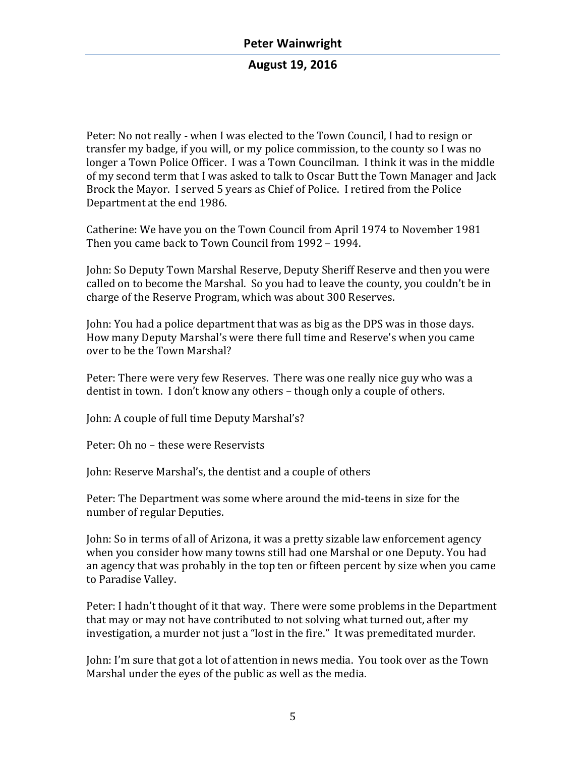Peter: No not really - when I was elected to the Town Council, I had to resign or transfer my badge, if you will, or my police commission, to the county so I was no longer a Town Police Officer. I was a Town Councilman. I think it was in the middle of my second term that I was asked to talk to Oscar Butt the Town Manager and Jack Brock the Mayor. I served 5 years as Chief of Police. I retired from the Police Department at the end 1986.

Catherine: We have you on the Town Council from April 1974 to November 1981 Then you came back to Town Council from 1992 - 1994.

John: So Deputy Town Marshal Reserve, Deputy Sheriff Reserve and then you were called on to become the Marshal. So you had to leave the county, you couldn't be in charge of the Reserve Program, which was about 300 Reserves.

John: You had a police department that was as big as the DPS was in those days. How many Deputy Marshal's were there full time and Reserve's when you came over to be the Town Marshal?

Peter: There were very few Reserves. There was one really nice guy who was a dentist in town. I don't know any others – though only a couple of others.

John: A couple of full time Deputy Marshal's?

Peter: Oh no – these were Reservists

John: Reserve Marshal's, the dentist and a couple of others

Peter: The Department was some where around the mid-teens in size for the number of regular Deputies.

John: So in terms of all of Arizona, it was a pretty sizable law enforcement agency when you consider how many towns still had one Marshal or one Deputy. You had an agency that was probably in the top ten or fifteen percent by size when you came to Paradise Valley.

Peter: I hadn't thought of it that way. There were some problems in the Department that may or may not have contributed to not solving what turned out, after my investigation, a murder not just a "lost in the fire." It was premeditated murder.

John: I'm sure that got a lot of attention in news media. You took over as the Town Marshal under the eyes of the public as well as the media.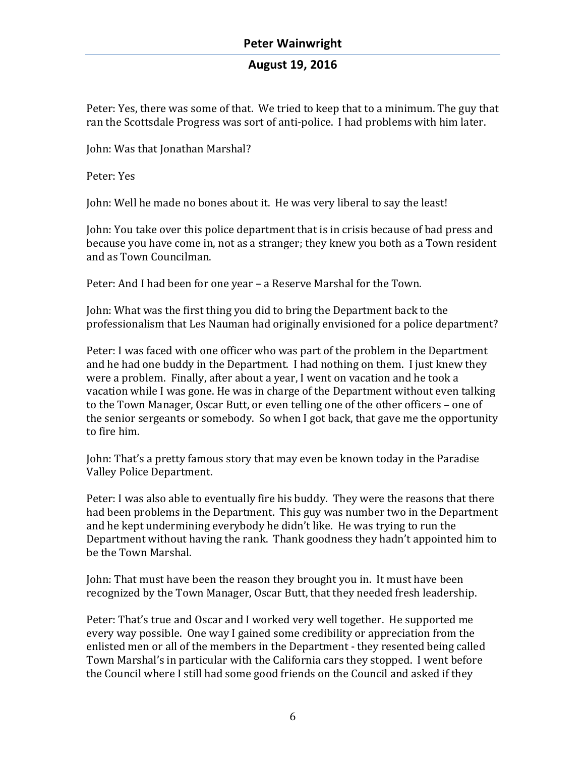Peter: Yes, there was some of that. We tried to keep that to a minimum. The guy that ran the Scottsdale Progress was sort of anti-police. I had problems with him later.

John: Was that Jonathan Marshal?

Peter: Yes

John: Well he made no bones about it. He was very liberal to say the least!

John: You take over this police department that is in crisis because of bad press and because you have come in, not as a stranger; they knew you both as a Town resident and as Town Councilman.

Peter: And I had been for one year - a Reserve Marshal for the Town.

John: What was the first thing you did to bring the Department back to the professionalism that Les Nauman had originally envisioned for a police department?

Peter: I was faced with one officer who was part of the problem in the Department and he had one buddy in the Department. I had nothing on them. I just knew they were a problem. Finally, after about a year, I went on vacation and he took a vacation while I was gone. He was in charge of the Department without even talking to the Town Manager, Oscar Butt, or even telling one of the other officers - one of the senior sergeants or somebody. So when I got back, that gave me the opportunity to fire him.

John: That's a pretty famous story that may even be known today in the Paradise Valley Police Department.

Peter: I was also able to eventually fire his buddy. They were the reasons that there had been problems in the Department. This guy was number two in the Department and he kept undermining everybody he didn't like. He was trying to run the Department without having the rank. Thank goodness they hadn't appointed him to be the Town Marshal.

John: That must have been the reason they brought you in. It must have been recognized by the Town Manager, Oscar Butt, that they needed fresh leadership.

Peter: That's true and Oscar and I worked very well together. He supported me every way possible. One way I gained some credibility or appreciation from the enlisted men or all of the members in the Department - they resented being called Town Marshal's in particular with the California cars they stopped. I went before the Council where I still had some good friends on the Council and asked if they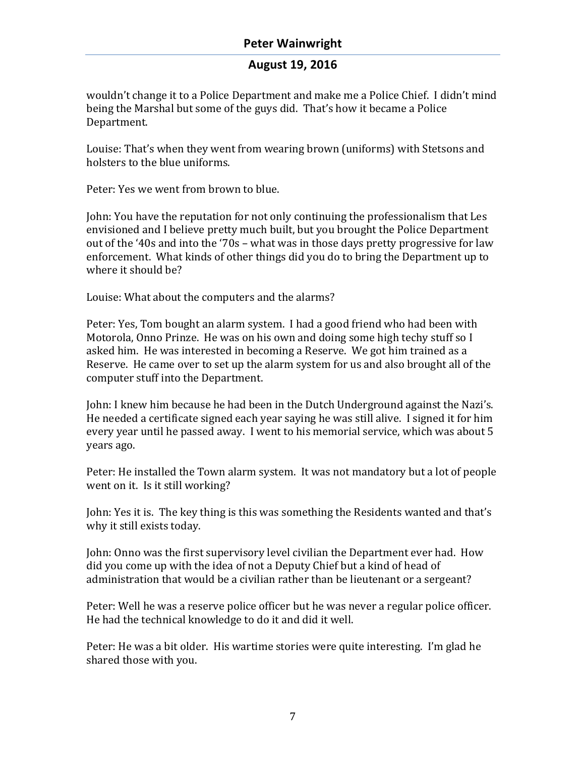# **August 19, 2016**

wouldn't change it to a Police Department and make me a Police Chief. I didn't mind being the Marshal but some of the guys did. That's how it became a Police Department. 

Louise: That's when they went from wearing brown (uniforms) with Stetsons and holsters to the blue uniforms.

Peter: Yes we went from brown to blue.

John: You have the reputation for not only continuing the professionalism that Les envisioned and I believe pretty much built, but you brought the Police Department out of the '40s and into the '70s – what was in those days pretty progressive for law enforcement. What kinds of other things did you do to bring the Department up to where it should be?

Louise: What about the computers and the alarms?

Peter: Yes, Tom bought an alarm system. I had a good friend who had been with Motorola, Onno Prinze. He was on his own and doing some high techy stuff so I asked him. He was interested in becoming a Reserve. We got him trained as a Reserve. He came over to set up the alarm system for us and also brought all of the computer stuff into the Department.

John: I knew him because he had been in the Dutch Underground against the Nazi's. He needed a certificate signed each year saying he was still alive. I signed it for him every year until he passed away. I went to his memorial service, which was about 5 years ago.

Peter: He installed the Town alarm system. It was not mandatory but a lot of people went on it. Is it still working?

John: Yes it is. The key thing is this was something the Residents wanted and that's why it still exists today.

John: Onno was the first supervisory level civilian the Department ever had. How did you come up with the idea of not a Deputy Chief but a kind of head of administration that would be a civilian rather than be lieutenant or a sergeant?

Peter: Well he was a reserve police officer but he was never a regular police officer. He had the technical knowledge to do it and did it well.

Peter: He was a bit older. His wartime stories were quite interesting. I'm glad he shared those with you.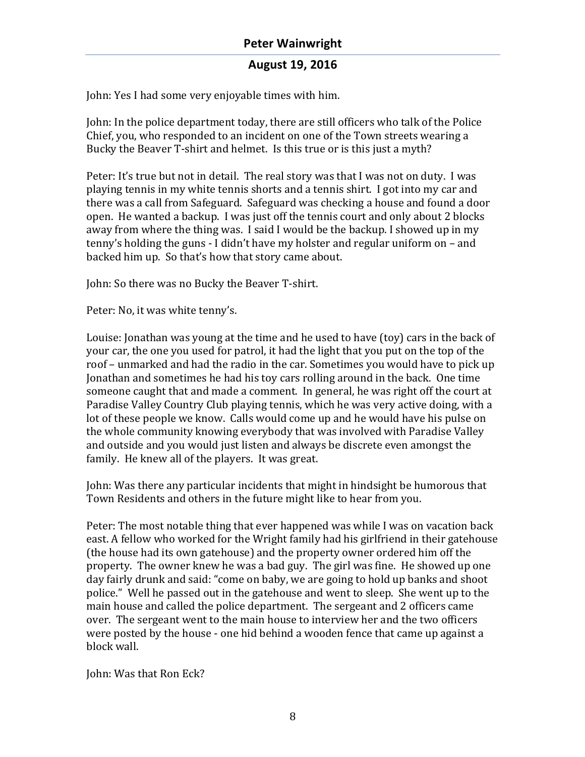John: Yes I had some very enjoyable times with him.

John: In the police department today, there are still officers who talk of the Police Chief, you, who responded to an incident on one of the Town streets wearing a Bucky the Beaver T-shirt and helmet. Is this true or is this just a myth?

Peter: It's true but not in detail. The real story was that I was not on duty. I was playing tennis in my white tennis shorts and a tennis shirt. I got into my car and there was a call from Safeguard. Safeguard was checking a house and found a door open. He wanted a backup. I was just off the tennis court and only about 2 blocks away from where the thing was. I said I would be the backup. I showed up in my tenny's holding the guns - I didn't have my holster and regular uniform on  $-$  and backed him up. So that's how that story came about.

John: So there was no Bucky the Beaver T-shirt.

Peter: No, it was white tenny's.

Louise: Jonathan was young at the time and he used to have (toy) cars in the back of your car, the one you used for patrol, it had the light that you put on the top of the roof – unmarked and had the radio in the car. Sometimes you would have to pick up Jonathan and sometimes he had his toy cars rolling around in the back. One time someone caught that and made a comment. In general, he was right off the court at Paradise Valley Country Club playing tennis, which he was very active doing, with a lot of these people we know. Calls would come up and he would have his pulse on the whole community knowing everybody that was involved with Paradise Valley and outside and you would just listen and always be discrete even amongst the family. He knew all of the players. It was great.

John: Was there any particular incidents that might in hindsight be humorous that Town Residents and others in the future might like to hear from you.

Peter: The most notable thing that ever happened was while I was on vacation back east. A fellow who worked for the Wright family had his girlfriend in their gatehouse (the house had its own gatehouse) and the property owner ordered him off the property. The owner knew he was a bad guy. The girl was fine. He showed up one day fairly drunk and said: "come on baby, we are going to hold up banks and shoot police." Well he passed out in the gatehouse and went to sleep. She went up to the main house and called the police department. The sergeant and 2 officers came over. The sergeant went to the main house to interview her and the two officers were posted by the house - one hid behind a wooden fence that came up against a block wall.

John: Was that Ron Eck?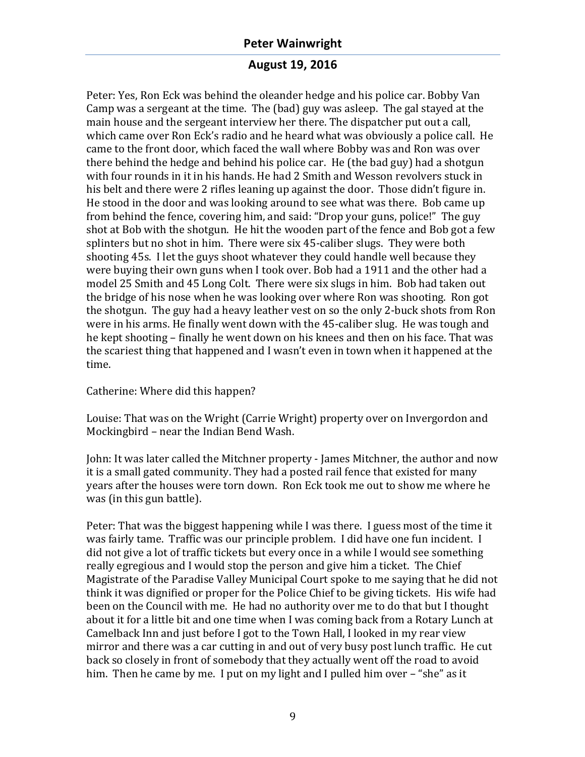#### **August 19, 2016**

Peter: Yes, Ron Eck was behind the oleander hedge and his police car. Bobby Van Camp was a sergeant at the time. The (bad) guy was asleep. The gal stayed at the main house and the sergeant interview her there. The dispatcher put out a call, which came over Ron Eck's radio and he heard what was obviously a police call. He came to the front door, which faced the wall where Bobby was and Ron was over there behind the hedge and behind his police car. He (the bad guy) had a shotgun with four rounds in it in his hands. He had 2 Smith and Wesson revolvers stuck in his belt and there were 2 rifles leaning up against the door. Those didn't figure in. He stood in the door and was looking around to see what was there. Bob came up from behind the fence, covering him, and said: "Drop your guns, police!" The guy shot at Bob with the shotgun. He hit the wooden part of the fence and Bob got a few splinters but no shot in him. There were  $\sin 45$ -caliber slugs. They were both shooting 45s. I let the guys shoot whatever they could handle well because they were buying their own guns when I took over. Bob had a 1911 and the other had a model 25 Smith and 45 Long Colt. There were six slugs in him. Bob had taken out the bridge of his nose when he was looking over where Ron was shooting. Ron got the shotgun. The guy had a heavy leather vest on so the only 2-buck shots from Ron were in his arms. He finally went down with the 45-caliber slug. He was tough and he kept shooting – finally he went down on his knees and then on his face. That was the scariest thing that happened and I wasn't even in town when it happened at the time.

Catherine: Where did this happen?

Louise: That was on the Wright (Carrie Wright) property over on Invergordon and Mockingbird - near the Indian Bend Wash.

John: It was later called the Mitchner property - James Mitchner, the author and now it is a small gated community. They had a posted rail fence that existed for many years after the houses were torn down. Ron Eck took me out to show me where he was (in this gun battle).

Peter: That was the biggest happening while I was there. I guess most of the time it was fairly tame. Traffic was our principle problem. I did have one fun incident. I did not give a lot of traffic tickets but every once in a while I would see something really egregious and I would stop the person and give him a ticket. The Chief Magistrate of the Paradise Valley Municipal Court spoke to me saying that he did not think it was dignified or proper for the Police Chief to be giving tickets. His wife had been on the Council with me. He had no authority over me to do that but I thought about it for a little bit and one time when I was coming back from a Rotary Lunch at Camelback Inn and just before I got to the Town Hall, I looked in my rear view mirror and there was a car cutting in and out of very busy post lunch traffic. He cut back so closely in front of somebody that they actually went off the road to avoid him. Then he came by me. I put on my light and I pulled him over  $-$  "she" as it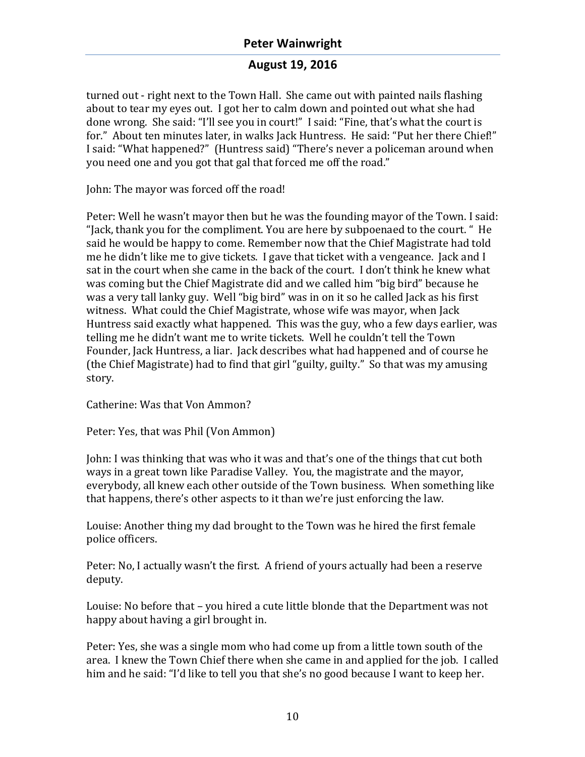### **August 19, 2016**

turned out - right next to the Town Hall. She came out with painted nails flashing about to tear my eyes out. I got her to calm down and pointed out what she had done wrong. She said: "I'll see you in court!" I said: "Fine, that's what the court is for." About ten minutes later, in walks Jack Huntress. He said: "Put her there Chief!" I said: "What happened?" (Huntress said) "There's never a policeman around when you need one and you got that gal that forced me off the road."

John: The mayor was forced off the road!

Peter: Well he wasn't mayor then but he was the founding mayor of the Town. I said: "Jack, thank you for the compliment. You are here by subpoenaed to the court. " He said he would be happy to come. Remember now that the Chief Magistrate had told me he didn't like me to give tickets. I gave that ticket with a vengeance. Jack and I sat in the court when she came in the back of the court. I don't think he knew what was coming but the Chief Magistrate did and we called him "big bird" because he was a very tall lanky guy. Well "big bird" was in on it so he called Jack as his first witness. What could the Chief Magistrate, whose wife was mayor, when Jack Huntress said exactly what happened. This was the guy, who a few days earlier, was telling me he didn't want me to write tickets. Well he couldn't tell the Town Founder, Jack Huntress, a liar. Jack describes what had happened and of course he (the Chief Magistrate) had to find that girl "guilty, guilty." So that was my amusing story.

Catherine: Was that Von Ammon?

Peter: Yes, that was Phil (Von Ammon)

Iohn: I was thinking that was who it was and that's one of the things that cut both ways in a great town like Paradise Valley. You, the magistrate and the mayor, everybody, all knew each other outside of the Town business. When something like that happens, there's other aspects to it than we're just enforcing the law.

Louise: Another thing my dad brought to the Town was he hired the first female police officers.

Peter: No, I actually wasn't the first. A friend of yours actually had been a reserve deputy.

Louise: No before that  $-$  you hired a cute little blonde that the Department was not happy about having a girl brought in.

Peter: Yes, she was a single mom who had come up from a little town south of the area. I knew the Town Chief there when she came in and applied for the job. I called him and he said: "I'd like to tell you that she's no good because I want to keep her.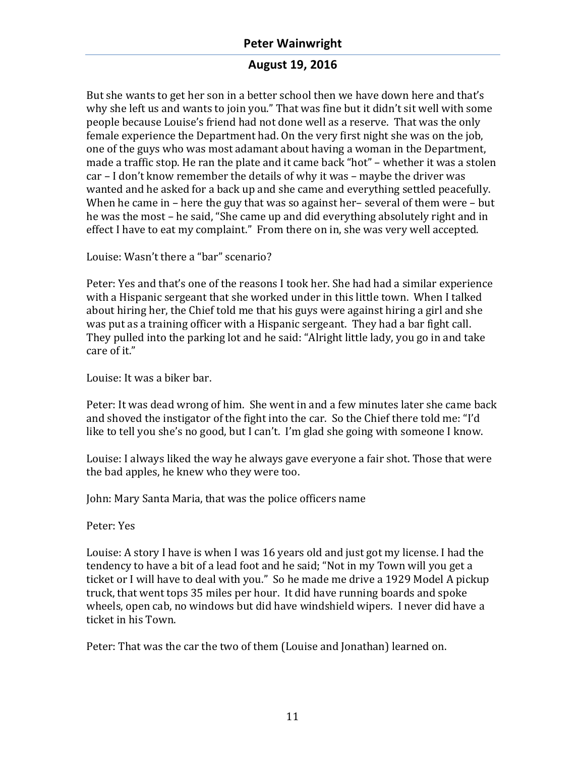# **August 19, 2016**

But she wants to get her son in a better school then we have down here and that's why she left us and wants to join you." That was fine but it didn't sit well with some people because Louise's friend had not done well as a reserve. That was the only female experience the Department had. On the very first night she was on the job, one of the guys who was most adamant about having a woman in the Department, made a traffic stop. He ran the plate and it came back "hot" – whether it was a stolen  $car - I don't know remember the details of why it was – maybe the driver was$ wanted and he asked for a back up and she came and everything settled peacefully. When he came in – here the guy that was so against her– several of them were – but he was the most – he said, "She came up and did everything absolutely right and in effect I have to eat my complaint." From there on in, she was very well accepted.

Louise: Wasn't there a "bar" scenario?

Peter: Yes and that's one of the reasons I took her. She had had a similar experience with a Hispanic sergeant that she worked under in this little town. When I talked about hiring her, the Chief told me that his guys were against hiring a girl and she was put as a training officer with a Hispanic sergeant. They had a bar fight call. They pulled into the parking lot and he said: "Alright little lady, you go in and take care of it."

Louise: It was a biker bar.

Peter: It was dead wrong of him. She went in and a few minutes later she came back and shoved the instigator of the fight into the car. So the Chief there told me: "I'd like to tell you she's no good, but I can't. I'm glad she going with someone I know.

Louise: I always liked the way he always gave everyone a fair shot. Those that were the bad apples, he knew who they were too.

John: Mary Santa Maria, that was the police officers name

Peter: Yes

Louise: A story I have is when I was 16 years old and just got my license. I had the tendency to have a bit of a lead foot and he said; "Not in my Town will you get a ticket or I will have to deal with you." So he made me drive a 1929 Model A pickup truck, that went tops 35 miles per hour. It did have running boards and spoke wheels, open cab, no windows but did have windshield wipers. I never did have a ticket in his Town.

Peter: That was the car the two of them (Louise and Jonathan) learned on.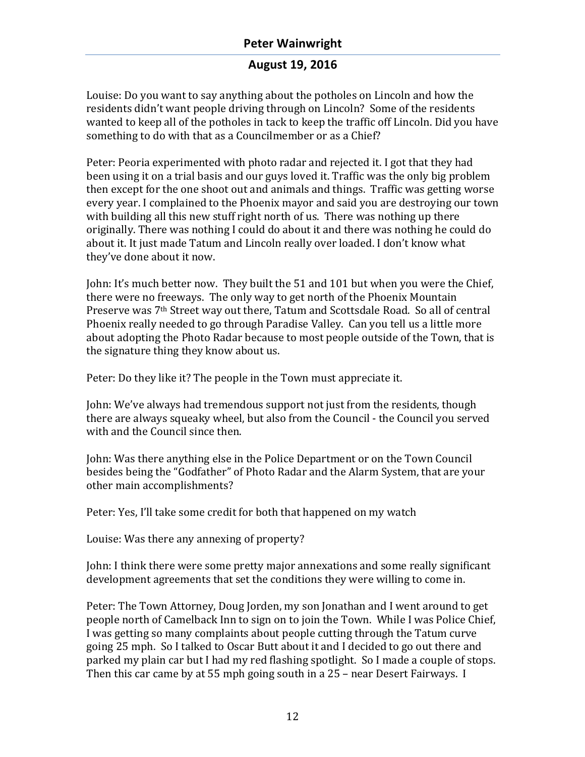### **August 19, 2016**

Louise: Do you want to say anything about the potholes on Lincoln and how the residents didn't want people driving through on Lincoln? Some of the residents wanted to keep all of the potholes in tack to keep the traffic off Lincoln. Did you have something to do with that as a Councilmember or as a Chief?

Peter: Peoria experimented with photo radar and rejected it. I got that they had been using it on a trial basis and our guys loved it. Traffic was the only big problem then except for the one shoot out and animals and things. Traffic was getting worse every year. I complained to the Phoenix mayor and said you are destroying our town with building all this new stuff right north of us. There was nothing up there originally. There was nothing I could do about it and there was nothing he could do about it. It just made Tatum and Lincoln really over loaded. I don't know what they've done about it now.

John: It's much better now. They built the 51 and 101 but when you were the Chief, there were no freeways. The only way to get north of the Phoenix Mountain Preserve was 7<sup>th</sup> Street way out there, Tatum and Scottsdale Road. So all of central Phoenix really needed to go through Paradise Valley. Can you tell us a little more about adopting the Photo Radar because to most people outside of the Town, that is the signature thing they know about us.

Peter: Do they like it? The people in the Town must appreciate it.

John: We've always had tremendous support not just from the residents, though there are always squeaky wheel, but also from the Council - the Council you served with and the Council since then.

John: Was there anything else in the Police Department or on the Town Council besides being the "Godfather" of Photo Radar and the Alarm System, that are your other main accomplishments?

Peter: Yes, I'll take some credit for both that happened on my watch

Louise: Was there any annexing of property?

John: I think there were some pretty major annexations and some really significant development agreements that set the conditions they were willing to come in.

Peter: The Town Attorney, Doug Jorden, my son Jonathan and I went around to get people north of Camelback Inn to sign on to join the Town. While I was Police Chief, I was getting so many complaints about people cutting through the Tatum curve going 25 mph. So I talked to Oscar Butt about it and I decided to go out there and parked my plain car but I had my red flashing spotlight. So I made a couple of stops. Then this car came by at 55 mph going south in a 25 – near Desert Fairways. I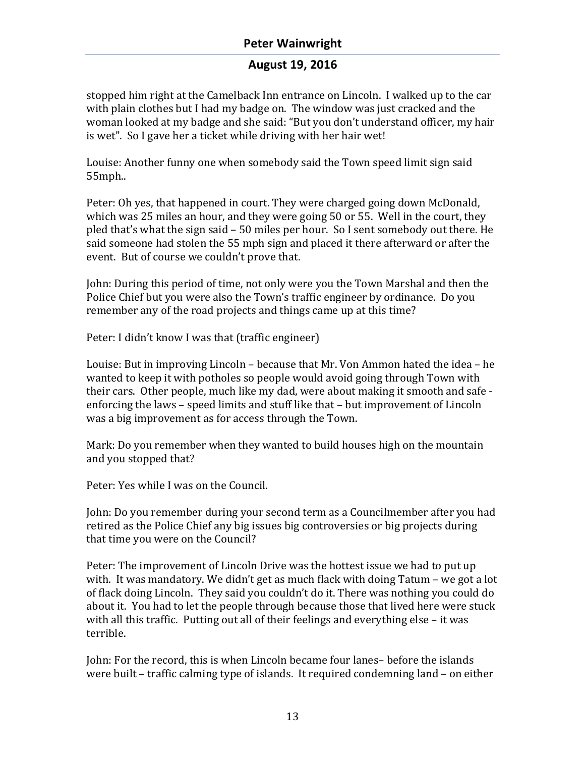#### **August 19, 2016**

stopped him right at the Camelback Inn entrance on Lincoln. I walked up to the car with plain clothes but I had my badge on. The window was just cracked and the woman looked at my badge and she said: "But you don't understand officer, my hair is wet". So I gave her a ticket while driving with her hair wet!

Louise: Another funny one when somebody said the Town speed limit sign said 55mph..

Peter: Oh yes, that happened in court. They were charged going down McDonald, which was 25 miles an hour, and they were going 50 or 55. Well in the court, they pled that's what the sign said – 50 miles per hour. So I sent somebody out there. He said someone had stolen the 55 mph sign and placed it there afterward or after the event. But of course we couldn't prove that.

John: During this period of time, not only were you the Town Marshal and then the Police Chief but you were also the Town's traffic engineer by ordinance. Do you remember any of the road projects and things came up at this time?

Peter: I didn't know I was that (traffic engineer)

Louise: But in improving Lincoln – because that Mr. Von Ammon hated the idea – he wanted to keep it with potholes so people would avoid going through Town with their cars. Other people, much like my dad, were about making it smooth and safe enforcing the laws – speed limits and stuff like that – but improvement of Lincoln was a big improvement as for access through the Town.

Mark: Do you remember when they wanted to build houses high on the mountain and you stopped that?

Peter: Yes while I was on the Council.

John: Do you remember during your second term as a Councilmember after you had retired as the Police Chief any big issues big controversies or big projects during that time you were on the Council?

Peter: The improvement of Lincoln Drive was the hottest issue we had to put up with. It was mandatory. We didn't get as much flack with doing Tatum – we got a lot of flack doing Lincoln. They said you couldn't do it. There was nothing you could do about it. You had to let the people through because those that lived here were stuck with all this traffic. Putting out all of their feelings and everything else – it was terrible.

John: For the record, this is when Lincoln became four lanes– before the islands were built – traffic calming type of islands. It required condemning land – on either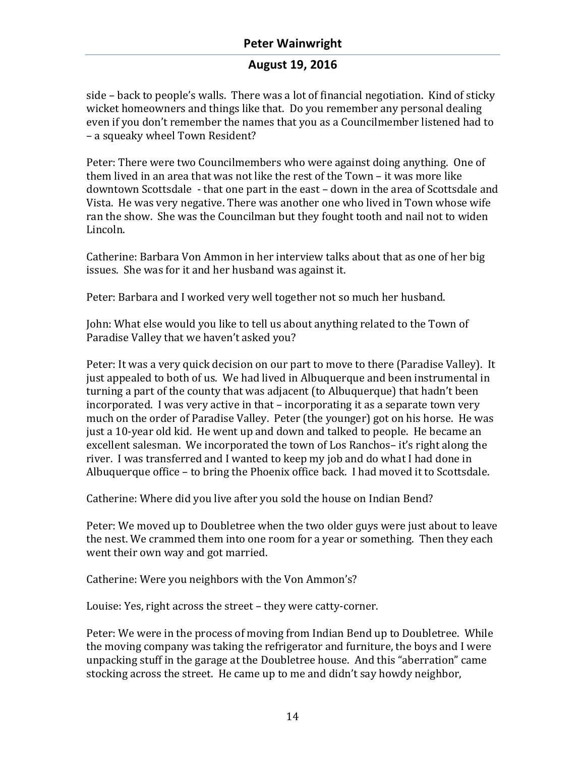# **August 19, 2016**

side – back to people's walls. There was a lot of financial negotiation. Kind of sticky wicket homeowners and things like that. Do you remember any personal dealing even if you don't remember the names that you as a Councilmember listened had to – a squeaky wheel Town Resident?

Peter: There were two Councilmembers who were against doing anything. One of them lived in an area that was not like the rest of the Town  $-$  it was more like downtown Scottsdale - that one part in the east - down in the area of Scottsdale and Vista. He was very negative. There was another one who lived in Town whose wife ran the show. She was the Councilman but they fought tooth and nail not to widen Lincoln. 

Catherine: Barbara Von Ammon in her interview talks about that as one of her big issues. She was for it and her husband was against it.

Peter: Barbara and I worked very well together not so much her husband.

John: What else would you like to tell us about anything related to the Town of Paradise Valley that we haven't asked you?

Peter: It was a very quick decision on our part to move to there (Paradise Valley). It just appealed to both of us. We had lived in Albuquerque and been instrumental in turning a part of the county that was adjacent (to Albuquerque) that hadn't been incorporated. I was very active in that – incorporating it as a separate town very much on the order of Paradise Valley. Peter (the younger) got on his horse. He was just a 10-year old kid. He went up and down and talked to people. He became an excellent salesman. We incorporated the town of Los Ranchos- it's right along the river. I was transferred and I wanted to keep my job and do what I had done in Albuquerque office – to bring the Phoenix office back. I had moved it to Scottsdale.

Catherine: Where did you live after you sold the house on Indian Bend?

Peter: We moved up to Doubletree when the two older guys were just about to leave the nest. We crammed them into one room for a year or something. Then they each went their own way and got married.

Catherine: Were you neighbors with the Von Ammon's?

Louise: Yes, right across the street – they were catty-corner.

Peter: We were in the process of moving from Indian Bend up to Doubletree. While the moving company was taking the refrigerator and furniture, the boys and I were unpacking stuff in the garage at the Doubletree house. And this "aberration" came stocking across the street. He came up to me and didn't say howdy neighbor,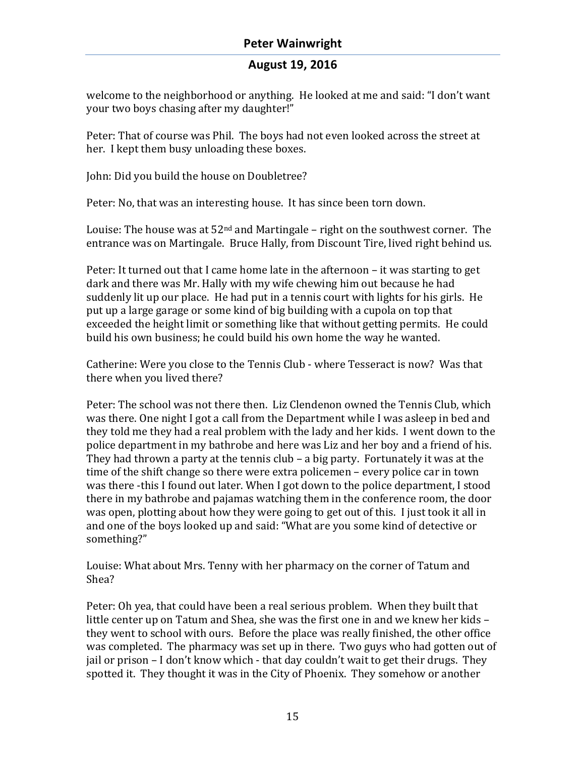welcome to the neighborhood or anything. He looked at me and said: "I don't want vour two boys chasing after my daughter!"

Peter: That of course was Phil. The boys had not even looked across the street at her. I kept them busy unloading these boxes.

John: Did you build the house on Doubletree?

Peter: No, that was an interesting house. It has since been torn down.

Louise: The house was at  $52<sup>nd</sup>$  and Martingale – right on the southwest corner. The entrance was on Martingale. Bruce Hally, from Discount Tire, lived right behind us.

Peter: It turned out that I came home late in the afternoon – it was starting to get dark and there was Mr. Hally with my wife chewing him out because he had suddenly lit up our place. He had put in a tennis court with lights for his girls. He put up a large garage or some kind of big building with a cupola on top that exceeded the height limit or something like that without getting permits. He could build his own business; he could build his own home the way he wanted.

Catherine: Were you close to the Tennis Club - where Tesseract is now? Was that there when you lived there?

Peter: The school was not there then. Liz Clendenon owned the Tennis Club, which was there. One night I got a call from the Department while I was asleep in bed and they told me they had a real problem with the lady and her kids. I went down to the police department in my bathrobe and here was Liz and her boy and a friend of his. They had thrown a party at the tennis club – a big party. Fortunately it was at the time of the shift change so there were extra policemen – every police car in town was there -this I found out later. When I got down to the police department, I stood there in my bathrobe and pajamas watching them in the conference room, the door was open, plotting about how they were going to get out of this. I just took it all in and one of the boys looked up and said: "What are you some kind of detective or something?"

Louise: What about Mrs. Tenny with her pharmacy on the corner of Tatum and Shea?

Peter: Oh yea, that could have been a real serious problem. When they built that little center up on Tatum and Shea, she was the first one in and we knew her kids they went to school with ours. Before the place was really finished, the other office was completed. The pharmacy was set up in there. Two guys who had gotten out of jail or prison – I don't know which - that day couldn't wait to get their drugs. They spotted it. They thought it was in the City of Phoenix. They somehow or another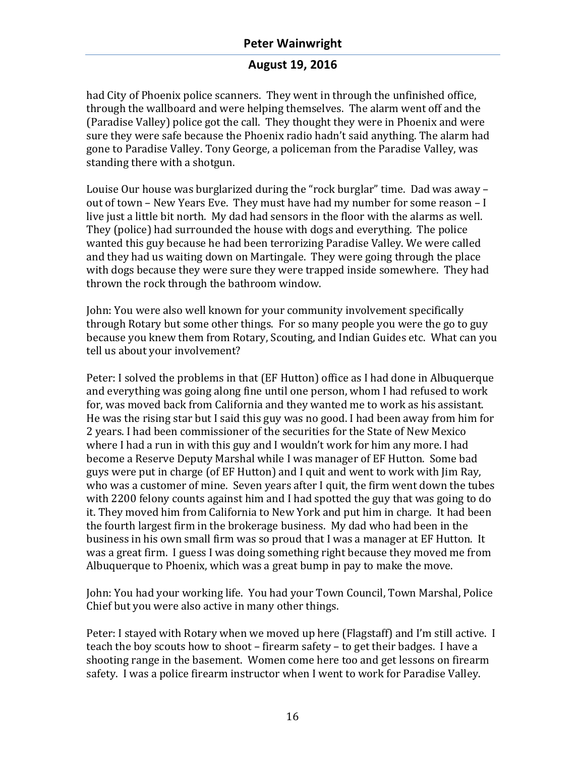### **August 19, 2016**

had City of Phoenix police scanners. They went in through the unfinished office, through the wallboard and were helping themselves. The alarm went off and the (Paradise Valley) police got the call. They thought they were in Phoenix and were sure they were safe because the Phoenix radio hadn't said anything. The alarm had gone to Paradise Valley. Tony George, a policeman from the Paradise Valley, was standing there with a shotgun.

Louise Our house was burglarized during the "rock burglar" time. Dad was away out of town – New Years Eve. They must have had my number for some reason  $-I$ live just a little bit north. My dad had sensors in the floor with the alarms as well. They (police) had surrounded the house with dogs and everything. The police wanted this guy because he had been terrorizing Paradise Valley. We were called and they had us waiting down on Martingale. They were going through the place with dogs because they were sure they were trapped inside somewhere. They had thrown the rock through the bathroom window.

John: You were also well known for your community involvement specifically through Rotary but some other things. For so many people you were the go to guy because you knew them from Rotary, Scouting, and Indian Guides etc. What can you tell us about your involvement?

Peter: I solved the problems in that (EF Hutton) office as I had done in Albuquerque and everything was going along fine until one person, whom I had refused to work for, was moved back from California and they wanted me to work as his assistant. He was the rising star but I said this guy was no good. I had been away from him for 2 years. I had been commissioner of the securities for the State of New Mexico where I had a run in with this guy and I wouldn't work for him any more. I had become a Reserve Deputy Marshal while I was manager of EF Hutton. Some bad guys were put in charge (of EF Hutton) and I quit and went to work with Jim Ray, who was a customer of mine. Seven years after I quit, the firm went down the tubes with 2200 felony counts against him and I had spotted the guy that was going to do it. They moved him from California to New York and put him in charge. It had been the fourth largest firm in the brokerage business. My dad who had been in the business in his own small firm was so proud that I was a manager at EF Hutton. It was a great firm. I guess I was doing something right because they moved me from Albuquerque to Phoenix, which was a great bump in pay to make the move.

John: You had your working life. You had your Town Council, Town Marshal, Police Chief but you were also active in many other things.

Peter: I stayed with Rotary when we moved up here (Flagstaff) and I'm still active. I teach the boy scouts how to shoot – firearm safety – to get their badges. I have a shooting range in the basement. Women come here too and get lessons on firearm safety. I was a police firearm instructor when I went to work for Paradise Valley.